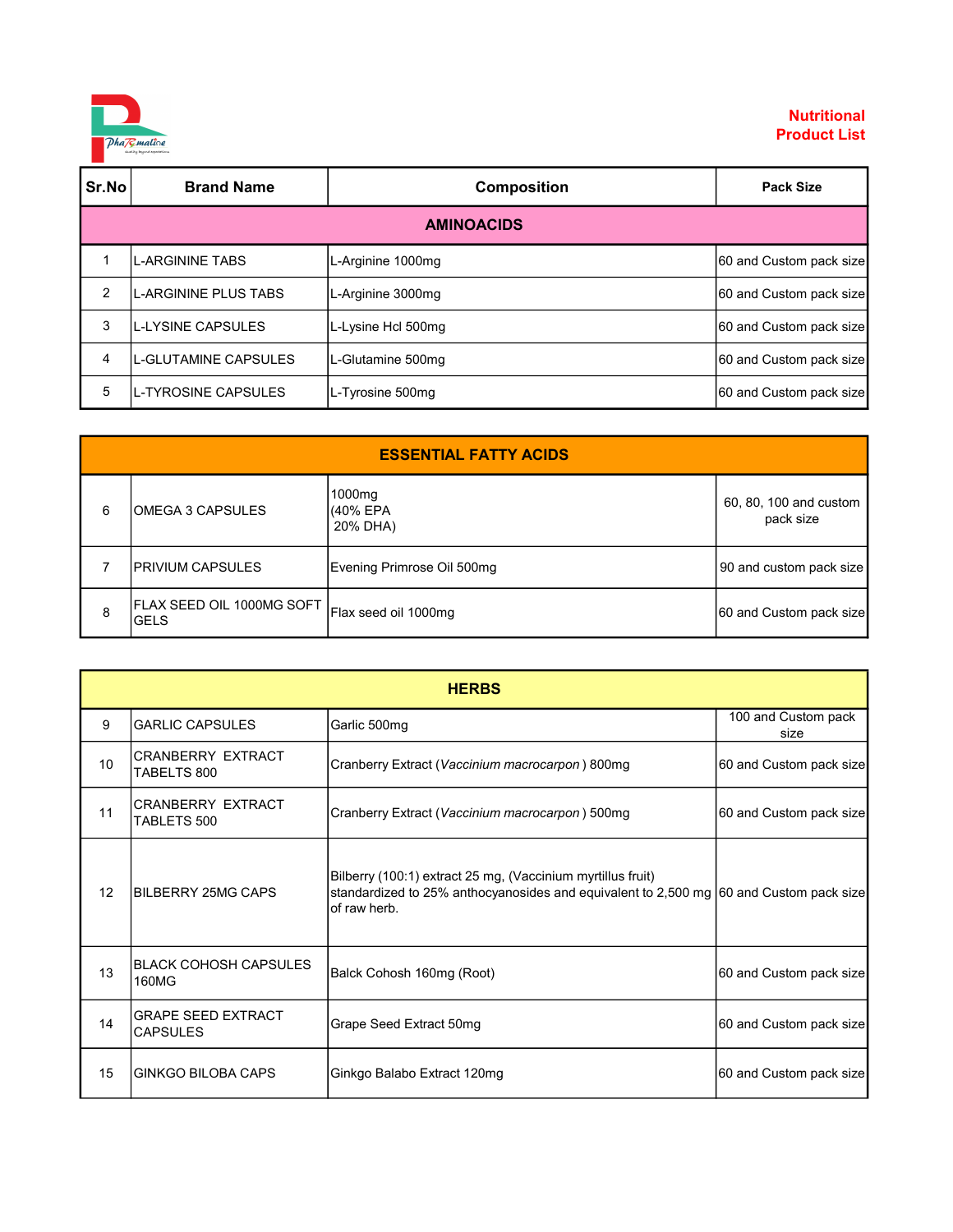

| Sr.No | <b>Brand Name</b>    | <b>Composition</b> | <b>Pack Size</b>        |  |
|-------|----------------------|--------------------|-------------------------|--|
|       | <b>AMINOACIDS</b>    |                    |                         |  |
|       | L-ARGININE TABS      | L-Arginine 1000mg  | 60 and Custom pack size |  |
| 2     | L-ARGININE PLUS TABS | L-Arginine 3000mg  | 60 and Custom pack size |  |
| 3     | IL-LYSINE CAPSULES   | L-Lysine Hcl 500mg | 60 and Custom pack size |  |
| 4     | L-GLUTAMINE CAPSULES | L-Glutamine 500mg  | 60 and Custom pack size |  |
| 5     | L-TYROSINE CAPSULES  | L-Tyrosine 500mg   | 60 and Custom pack size |  |

| <b>ESSENTIAL FATTY ACIDS</b> |                                          |                                |                                     |
|------------------------------|------------------------------------------|--------------------------------|-------------------------------------|
| 6                            | IOMEGA 3 CAPSULES                        | 1000mg<br>(40% EPA<br>20% DHA) | 60, 80, 100 and custom<br>pack size |
|                              | <b>IPRIVIUM CAPSULES</b>                 | Evening Primrose Oil 500mg     | 90 and custom pack size             |
| 8                            | FLAX SEED OIL 1000MG SOFT<br><b>GELS</b> | Flax seed oil 1000mg           | 60 and Custom pack size             |

| <b>HERBS</b> |                                              |                                                                                                                                                                       |                             |
|--------------|----------------------------------------------|-----------------------------------------------------------------------------------------------------------------------------------------------------------------------|-----------------------------|
| 9            | <b>GARLIC CAPSULES</b>                       | Garlic 500mg                                                                                                                                                          | 100 and Custom pack<br>size |
| 10           | <b>CRANBERRY EXTRACT</b><br>TABELTS 800      | Cranberry Extract (Vaccinium macrocarpon) 800mg                                                                                                                       | 60 and Custom pack size     |
| 11           | <b>CRANBERRY EXTRACT</b><br>TABLETS 500      | Cranberry Extract (Vaccinium macrocarpon) 500mg                                                                                                                       | 60 and Custom pack size     |
| 12           | BILBERRY 25MG CAPS                           | Bilberry (100:1) extract 25 mg, (Vaccinium myrtillus fruit)<br>standardized to 25% anthocyanosides and equivalent to 2,500 mg 60 and Custom pack size<br>of raw herb. |                             |
| 13           | <b>BLACK COHOSH CAPSULES</b><br>160MG        | Balck Cohosh 160mg (Root)                                                                                                                                             | 60 and Custom pack size     |
| 14           | <b>GRAPE SEED EXTRACT</b><br><b>CAPSULES</b> | Grape Seed Extract 50mg                                                                                                                                               | 60 and Custom pack size     |
| 15           | <b>GINKGO BILOBA CAPS</b>                    | Ginkgo Balabo Extract 120mg                                                                                                                                           | 60 and Custom pack size     |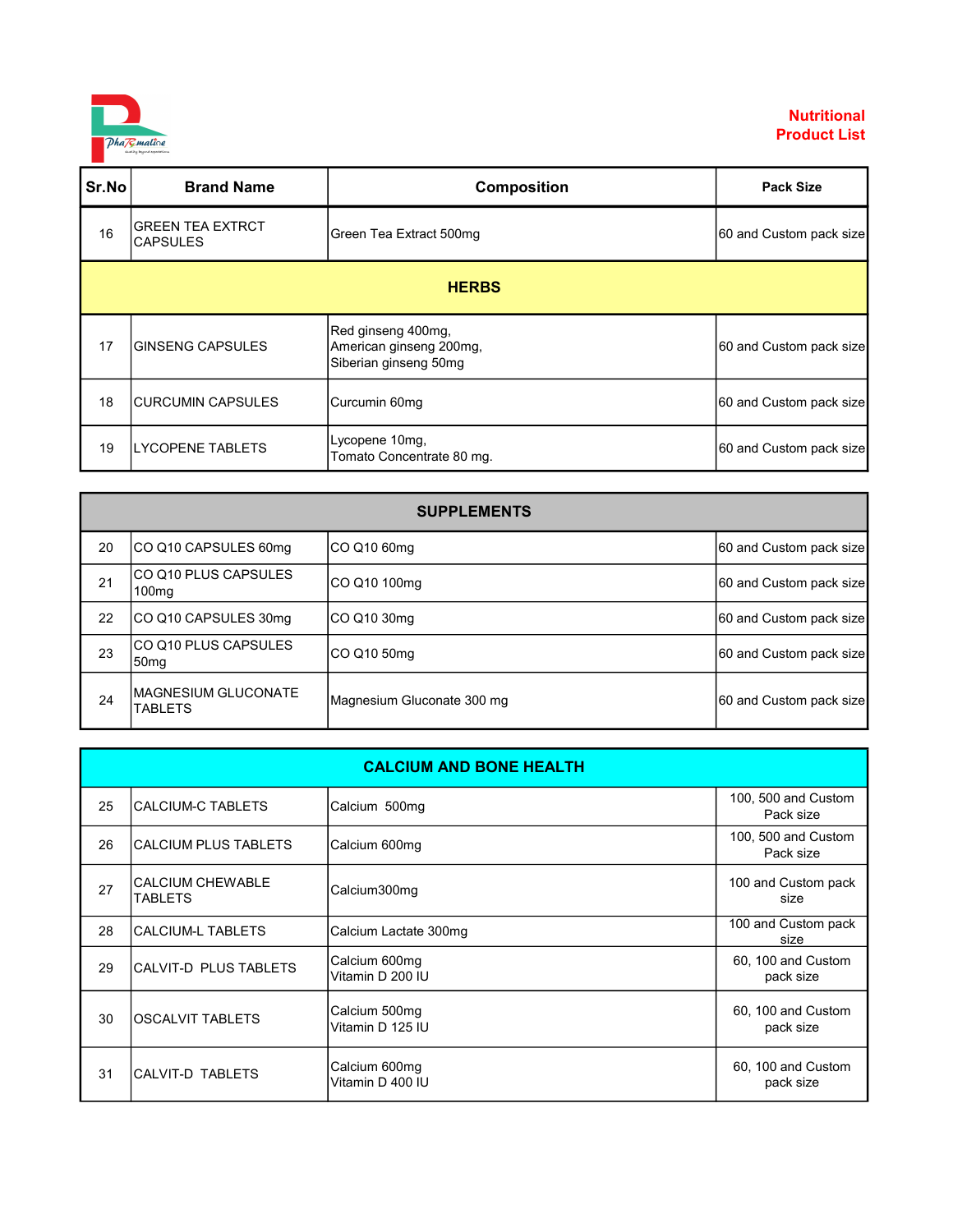

| Sr.No | <b>Brand Name</b>                          | <b>Composition</b>                                                     | <b>Pack Size</b>        |  |
|-------|--------------------------------------------|------------------------------------------------------------------------|-------------------------|--|
| 16    | <b>GREEN TEA EXTRCT</b><br><b>CAPSULES</b> | Green Tea Extract 500mg                                                | 60 and Custom pack size |  |
|       | <b>HERBS</b>                               |                                                                        |                         |  |
| 17    | <b>GINSENG CAPSULES</b>                    | Red ginseng 400mg,<br>American ginseng 200mg,<br>Siberian ginseng 50mg | 60 and Custom pack size |  |
| 18    | <b>CURCUMIN CAPSULES</b>                   | Curcumin 60mg                                                          | 60 and Custom pack size |  |
| 19    | <b>LYCOPENE TABLETS</b>                    | Lycopene 10mg,<br>Tomato Concentrate 80 mg.                            | 60 and Custom pack size |  |

| <b>SUPPLEMENTS</b> |                                           |                            |                         |
|--------------------|-------------------------------------------|----------------------------|-------------------------|
| 20                 | ICO Q10 CAPSULES 60mq                     | CO Q10 60mg                | 60 and Custom pack size |
| 21                 | CO Q10 PLUS CAPSULES<br>100 <sub>mq</sub> | CO Q10 100mg               | 60 and Custom pack size |
| 22                 | ICO Q10 CAPSULES 30mg                     | CO Q10 30mg                | 60 and Custom pack size |
| 23                 | ICO Q10 PLUS CAPSULES<br>50mg             | CO Q10 50mg                | 60 and Custom pack size |
| 24                 | IMAGNESIUM GLUCONATE<br><b>TABLETS</b>    | Magnesium Gluconate 300 mg | 60 and Custom pack size |

|    |                                    | <b>CALCIUM AND BONE HEALTH</b>    |                                  |
|----|------------------------------------|-----------------------------------|----------------------------------|
| 25 | <b>CALCIUM-C TABLETS</b>           | Calcium 500mg                     | 100, 500 and Custom<br>Pack size |
| 26 | <b>CALCIUM PLUS TABLETS</b>        | Calcium 600mg                     | 100, 500 and Custom<br>Pack size |
| 27 | <b>CALCIUM CHEWABLE</b><br>TABLETS | Calcium300mg                      | 100 and Custom pack<br>size      |
| 28 | <b>CALCIUM-L TABLETS</b>           | Calcium Lactate 300mg             | 100 and Custom pack<br>size      |
| 29 | CALVIT-D PLUS TABLETS              | Calcium 600mg<br>Vitamin D 200 IU | 60, 100 and Custom<br>pack size  |
| 30 | <b>OSCALVIT TABLETS</b>            | Calcium 500mg<br>Vitamin D 125 IU | 60, 100 and Custom<br>pack size  |
| 31 | CALVIT-D TABLETS                   | Calcium 600mg<br>Vitamin D 400 IU | 60, 100 and Custom<br>pack size  |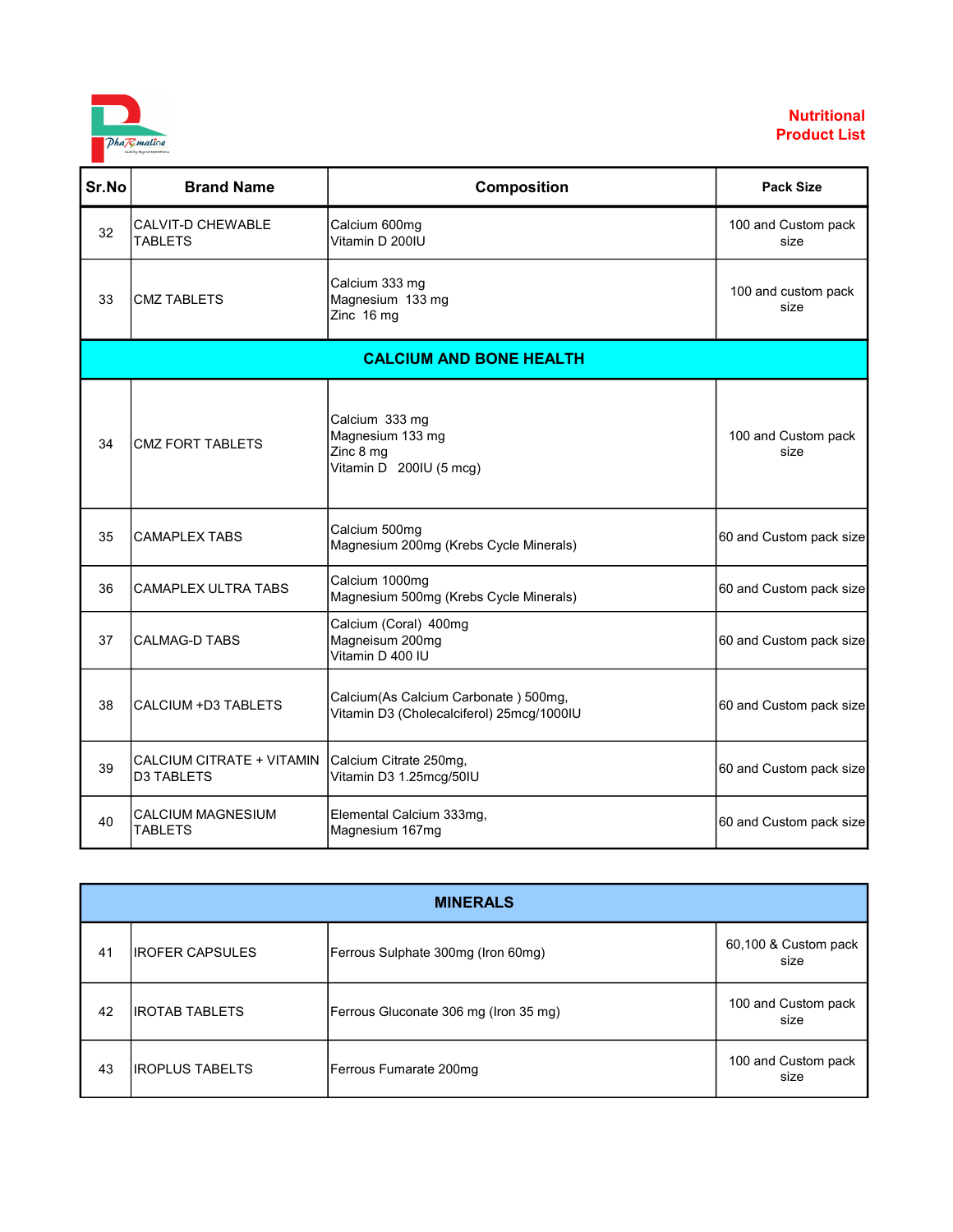

| Sr.No | <b>Brand Name</b>                              | <b>Composition</b>                                                                | <b>Pack Size</b>            |
|-------|------------------------------------------------|-----------------------------------------------------------------------------------|-----------------------------|
| 32    | <b>CALVIT-D CHEWABLE</b><br><b>TABLETS</b>     | Calcium 600mg<br>Vitamin D 200IU                                                  | 100 and Custom pack<br>size |
| 33    | <b>CMZ TABLETS</b>                             | Calcium 333 mg<br>Magnesium 133 mg<br>Zinc 16 mg                                  | 100 and custom pack<br>size |
|       |                                                | <b>CALCIUM AND BONE HEALTH</b>                                                    |                             |
| 34    | <b>CMZ FORT TABLETS</b>                        | Calcium 333 mg<br>Magnesium 133 mg<br>Zinc 8 mg<br>Vitamin D 200IU (5 mcg)        | 100 and Custom pack<br>size |
| 35    | <b>CAMAPLEX TABS</b>                           | Calcium 500mg<br>Magnesium 200mg (Krebs Cycle Minerals)                           | 60 and Custom pack size     |
| 36    | <b>CAMAPLEX ULTRA TABS</b>                     | Calcium 1000mg<br>Magnesium 500mg (Krebs Cycle Minerals)                          | 60 and Custom pack size     |
| 37    | <b>CALMAG-D TABS</b>                           | Calcium (Coral) 400mg<br>Magneisum 200mg<br>Vitamin D 400 IU                      | 60 and Custom pack size     |
| 38    | CALCIUM +D3 TABLETS                            | Calcium(As Calcium Carbonate) 500mg,<br>Vitamin D3 (Cholecalciferol) 25mcg/1000IU | 60 and Custom pack size     |
| 39    | CALCIUM CITRATE + VITAMIN<br><b>D3 TABLETS</b> | Calcium Citrate 250mg,<br>Vitamin D3 1.25mcg/50IU                                 | 60 and Custom pack size     |
| 40    | <b>CALCIUM MAGNESIUM</b><br><b>TABLETS</b>     | Elemental Calcium 333mg,<br>Magnesium 167mg                                       | 60 and Custom pack size     |

| <b>MINERALS</b> |                  |                                       |                              |
|-----------------|------------------|---------------------------------------|------------------------------|
| 41              | lIROFER CAPSULES | Ferrous Sulphate 300mg (Iron 60mg)    | 60,100 & Custom pack<br>size |
| 42              | IIROTAB TABLETS  | Ferrous Gluconate 306 mg (Iron 35 mg) | 100 and Custom pack<br>size  |
| 43              | IIROPLUS TABELTS | Ferrous Fumarate 200mg                | 100 and Custom pack<br>size  |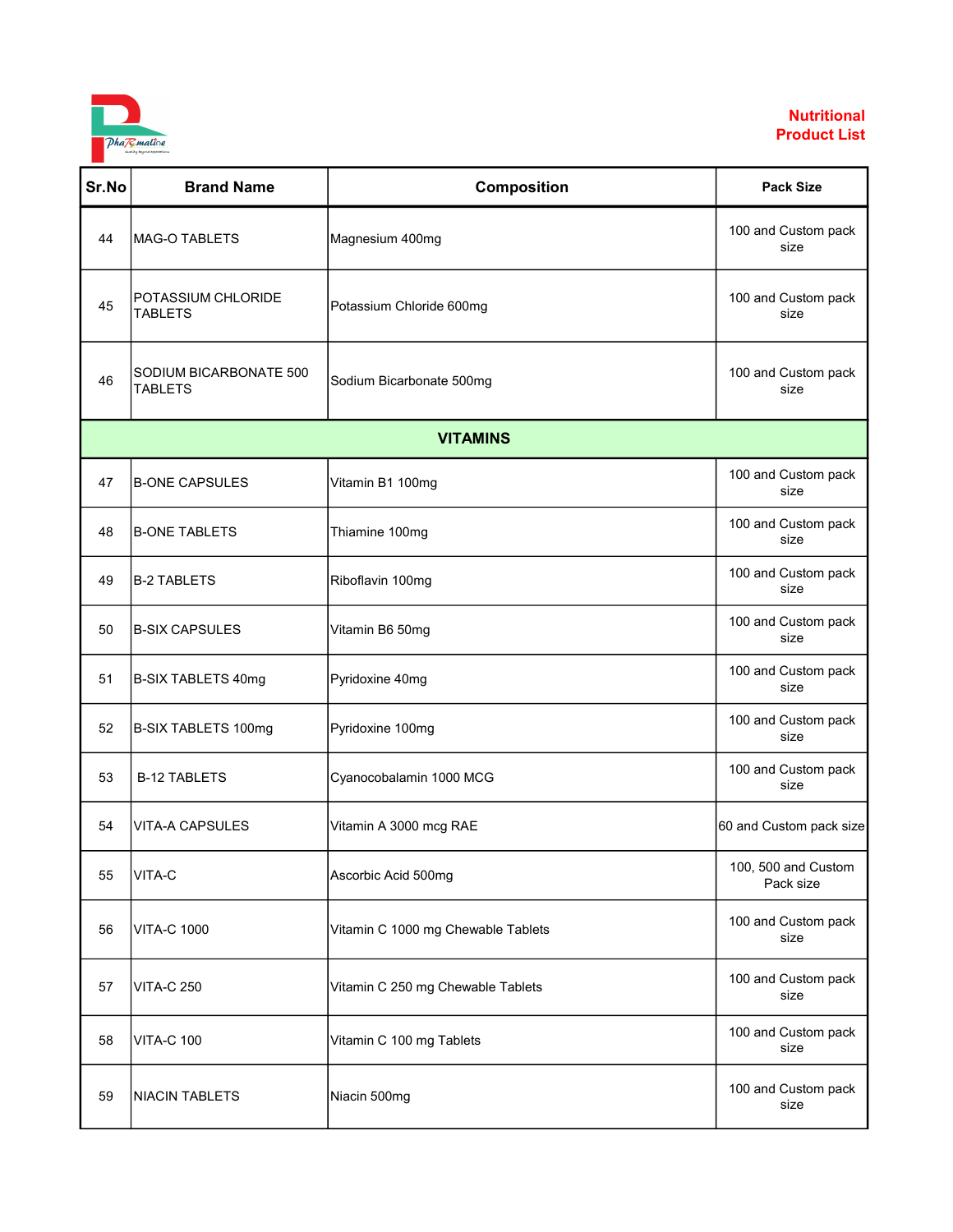

| Sr.No | <b>Brand Name</b>                        | Composition                        | <b>Pack Size</b>                 |
|-------|------------------------------------------|------------------------------------|----------------------------------|
| 44    | MAG-O TABLETS                            | Magnesium 400mg                    | 100 and Custom pack<br>size      |
| 45    | POTASSIUM CHLORIDE<br><b>TABLETS</b>     | Potassium Chloride 600mg           | 100 and Custom pack<br>size      |
| 46    | SODIUM BICARBONATE 500<br><b>TABLETS</b> | Sodium Bicarbonate 500mg           | 100 and Custom pack<br>size      |
|       |                                          | <b>VITAMINS</b>                    |                                  |
| 47    | <b>B-ONE CAPSULES</b>                    | Vitamin B1 100mg                   | 100 and Custom pack<br>size      |
| 48    | <b>B-ONE TABLETS</b>                     | Thiamine 100mg                     | 100 and Custom pack<br>size      |
| 49    | <b>B-2 TABLETS</b>                       | Riboflavin 100mg                   | 100 and Custom pack<br>size      |
| 50    | <b>B-SIX CAPSULES</b>                    | Vitamin B6 50mg                    | 100 and Custom pack<br>size      |
| 51    | <b>B-SIX TABLETS 40mg</b>                | Pyridoxine 40mg                    | 100 and Custom pack<br>size      |
| 52    | B-SIX TABLETS 100mg                      | Pyridoxine 100mg                   | 100 and Custom pack<br>size      |
| 53    | <b>B-12 TABLETS</b>                      | Cyanocobalamin 1000 MCG            | 100 and Custom pack<br>size      |
| 54    | <b>VITA-A CAPSULES</b>                   | Vitamin A 3000 mcg RAE             | 60 and Custom pack size          |
| 55    | VITA-C                                   | Ascorbic Acid 500mg                | 100, 500 and Custom<br>Pack size |
| 56    | <b>VITA-C 1000</b>                       | Vitamin C 1000 mg Chewable Tablets | 100 and Custom pack<br>size      |
| 57    | <b>VITA-C 250</b>                        | Vitamin C 250 mg Chewable Tablets  | 100 and Custom pack<br>size      |
| 58    | VITA-C 100                               | Vitamin C 100 mg Tablets           | 100 and Custom pack<br>size      |
| 59    | <b>NIACIN TABLETS</b>                    | Niacin 500mg                       | 100 and Custom pack<br>size      |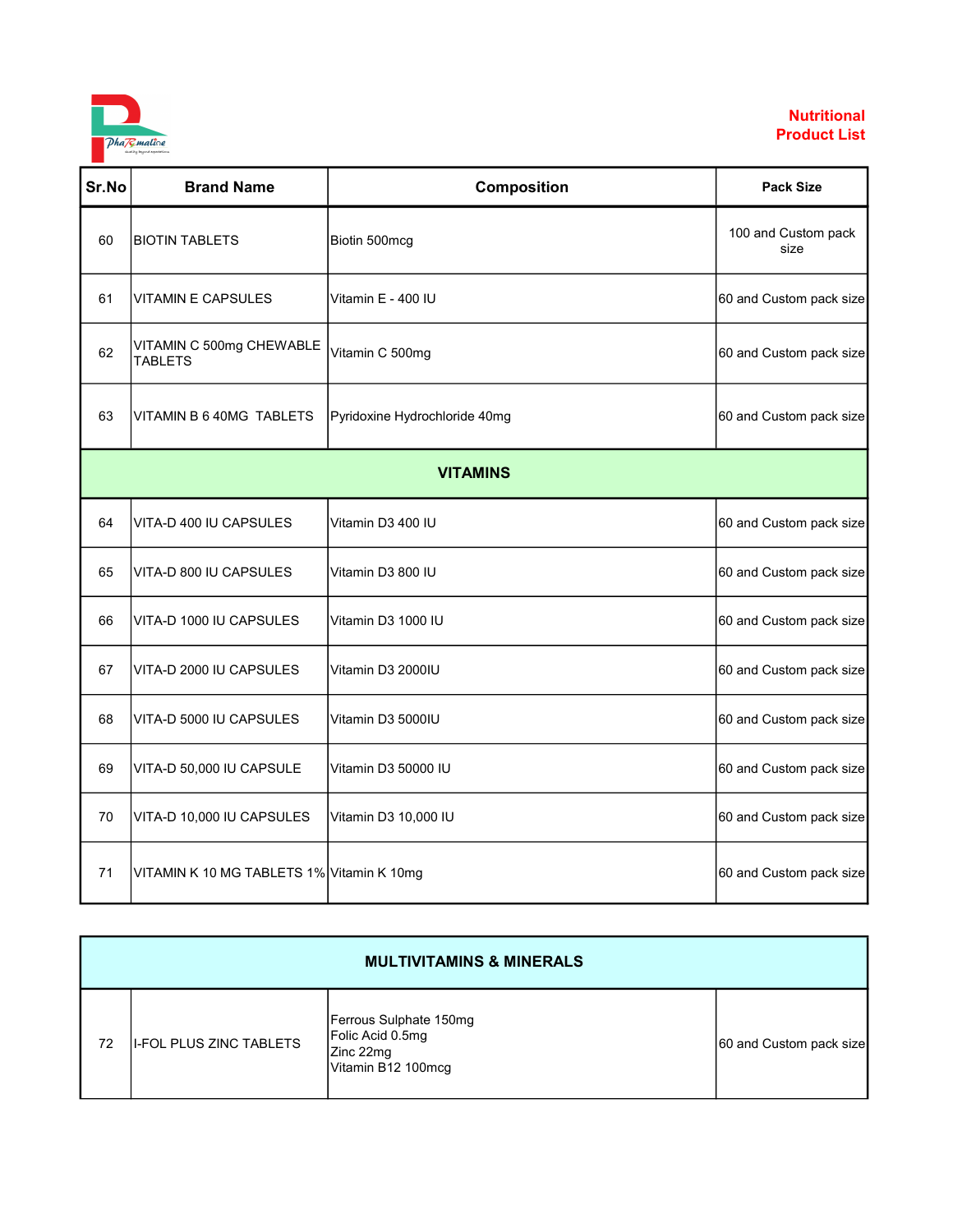

| Sr.No | <b>Brand Name</b>                          | Composition                   | <b>Pack Size</b>            |  |
|-------|--------------------------------------------|-------------------------------|-----------------------------|--|
| 60    | <b>BIOTIN TABLETS</b>                      | Biotin 500mcg                 | 100 and Custom pack<br>size |  |
| 61    | VITAMIN E CAPSULES                         | Vitamin E - 400 IU            | 60 and Custom pack size     |  |
| 62    | VITAMIN C 500mg CHEWABLE<br><b>TABLETS</b> | Vitamin C 500mg               | 60 and Custom pack size     |  |
| 63    | VITAMIN B 6 40MG TABLETS                   | Pyridoxine Hydrochloride 40mg | 60 and Custom pack size     |  |
|       | <b>VITAMINS</b>                            |                               |                             |  |
| 64    | VITA-D 400 IU CAPSULES                     | Vitamin D3 400 IU             | 60 and Custom pack size     |  |
| 65    | VITA-D 800 IU CAPSULES                     | Vitamin D3 800 IU             | 60 and Custom pack size     |  |
| 66    | VITA-D 1000 IU CAPSULES                    | Vitamin D3 1000 IU            | 60 and Custom pack size     |  |
| 67    | VITA-D 2000 IU CAPSULES                    | Vitamin D3 2000IU             | 60 and Custom pack size     |  |
| 68    | VITA-D 5000 IU CAPSULES                    | Vitamin D3 5000IU             | 60 and Custom pack size     |  |
| 69    | VITA-D 50,000 IU CAPSULE                   | Vitamin D3 50000 IU           | 60 and Custom pack size     |  |
| 70    | VITA-D 10,000 IU CAPSULES                  | Vitamin D3 10,000 IU          | 60 and Custom pack size     |  |
| 71    | VITAMIN K 10 MG TABLETS 1% Vitamin K 10mg  |                               | 60 and Custom pack size     |  |

|    | <b>MULTIVITAMINS &amp; MINERALS</b> |                                                                               |                         |  |
|----|-------------------------------------|-------------------------------------------------------------------------------|-------------------------|--|
| 72 | <b>II-FOL PLUS ZINC TABLETS</b>     | Ferrous Sulphate 150mg<br>Folic Acid 0.5mg<br>Zinc 22mg<br>Vitamin B12 100mcq | 60 and Custom pack size |  |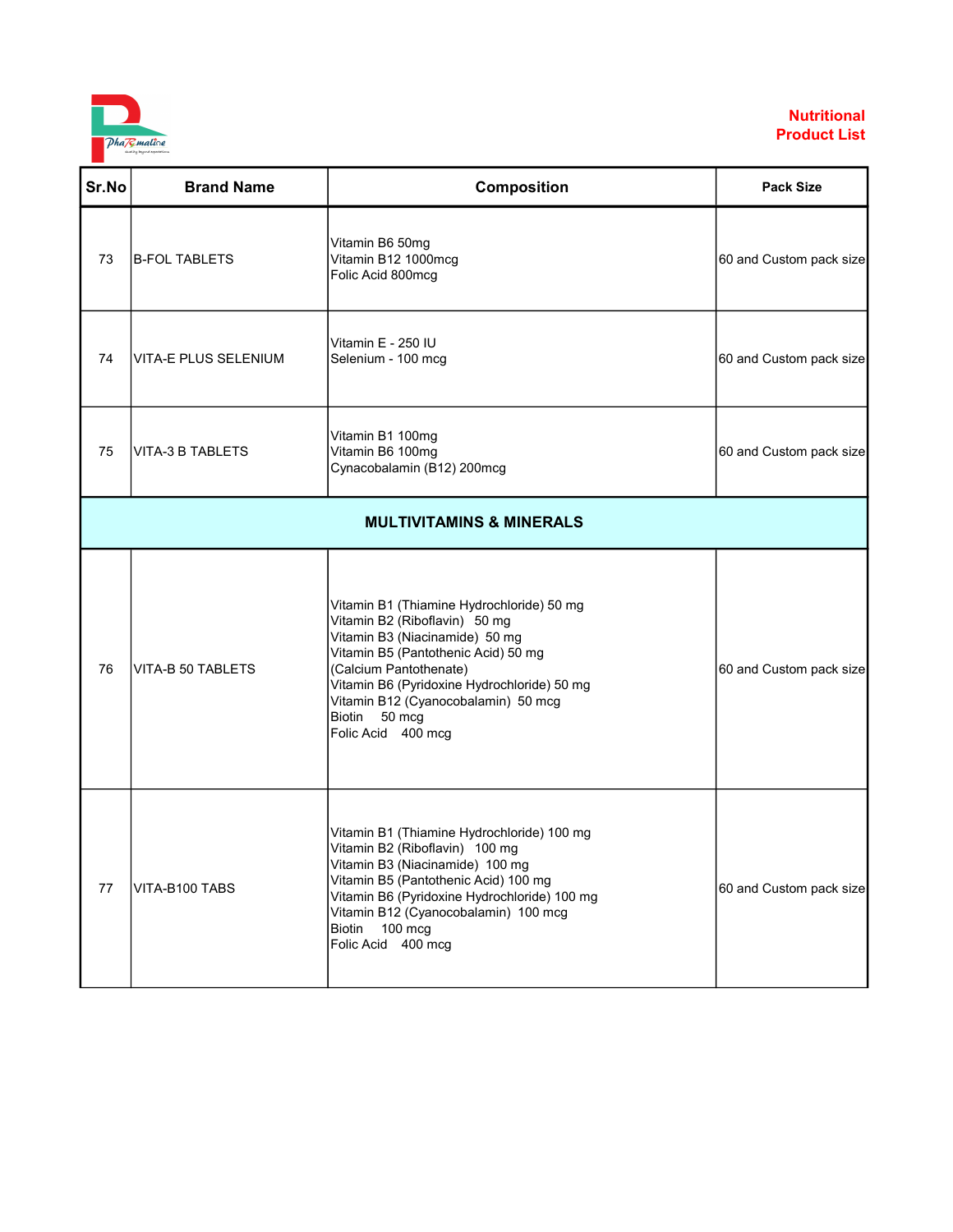

| Sr.No | <b>Brand Name</b>       | Composition                                                                                                                                                                                                                                                                                                | <b>Pack Size</b>        |
|-------|-------------------------|------------------------------------------------------------------------------------------------------------------------------------------------------------------------------------------------------------------------------------------------------------------------------------------------------------|-------------------------|
| 73    | <b>B-FOL TABLETS</b>    | Vitamin B6 50mg<br>Vitamin B12 1000mcg<br>Folic Acid 800mcg                                                                                                                                                                                                                                                | 60 and Custom pack size |
| 74    | VITA-E PLUS SELENIUM    | Vitamin E - 250 IU<br>Selenium - 100 mcg                                                                                                                                                                                                                                                                   | 60 and Custom pack size |
| 75    | <b>VITA-3 B TABLETS</b> | Vitamin B1 100mg<br>Vitamin B6 100mg<br>Cynacobalamin (B12) 200mcg                                                                                                                                                                                                                                         | 60 and Custom pack size |
|       |                         | <b>MULTIVITAMINS &amp; MINERALS</b>                                                                                                                                                                                                                                                                        |                         |
| 76    | VITA-B 50 TABLETS       | Vitamin B1 (Thiamine Hydrochloride) 50 mg<br>Vitamin B2 (Riboflavin) 50 mg<br>Vitamin B3 (Niacinamide) 50 mg<br>Vitamin B5 (Pantothenic Acid) 50 mg<br>(Calcium Pantothenate)<br>Vitamin B6 (Pyridoxine Hydrochloride) 50 mg<br>Vitamin B12 (Cyanocobalamin) 50 mcg<br>Biotin 50 mcg<br>Folic Acid 400 mcg | 60 and Custom pack size |
| 77    | VITA-B100 TABS          | Vitamin B1 (Thiamine Hydrochloride) 100 mg<br>Vitamin B2 (Riboflavin) 100 mg<br>Vitamin B3 (Niacinamide) 100 mg<br>Vitamin B5 (Pantothenic Acid) 100 mg<br>Vitamin B6 (Pyridoxine Hydrochloride) 100 mg<br>Vitamin B12 (Cyanocobalamin) 100 mcg<br>100 mcg<br>Biotin<br>Folic Acid 400 mcg                 | 60 and Custom pack size |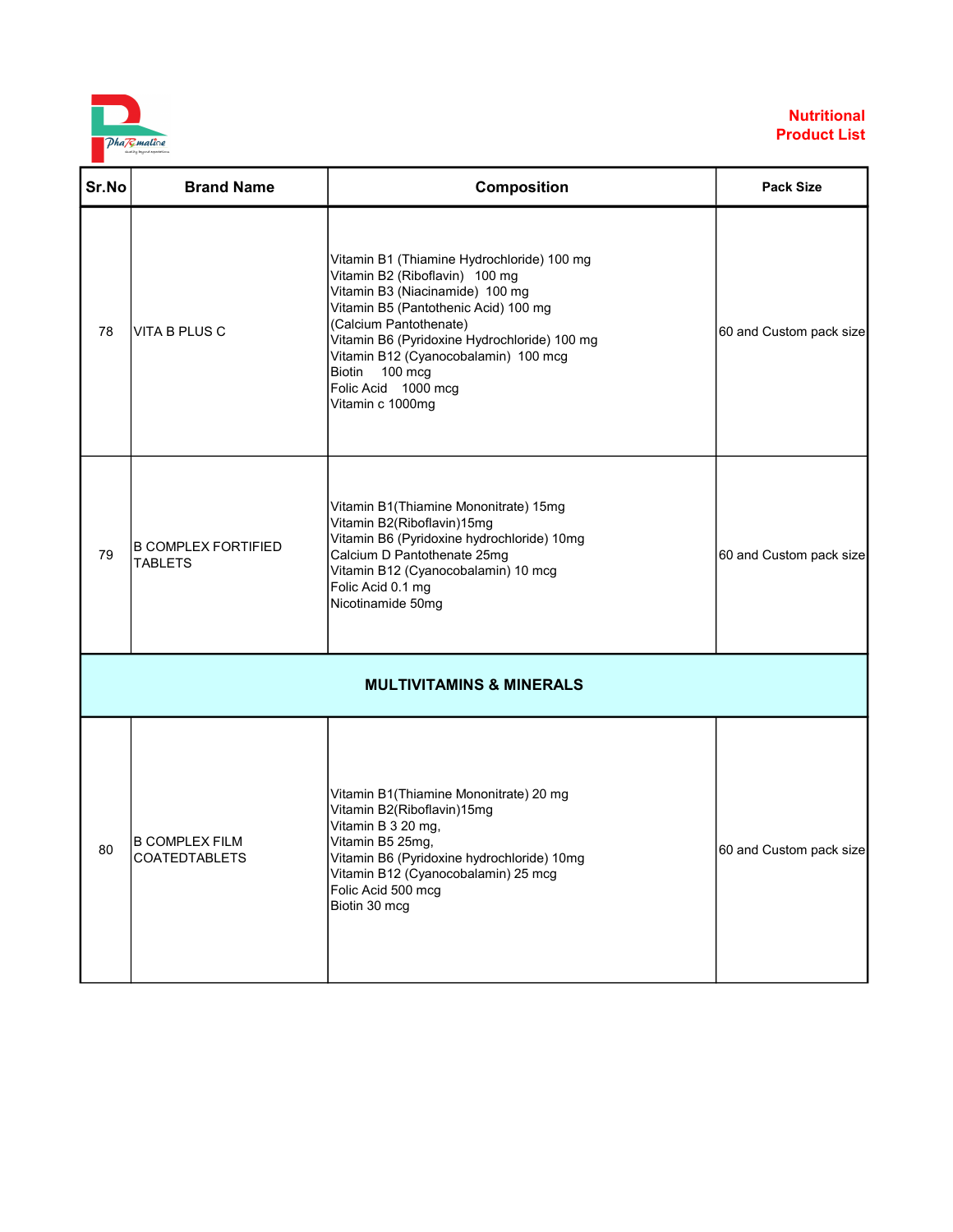

| Sr.No | <b>Brand Name</b>                            | Composition                                                                                                                                                                                                                                                                                                                            | <b>Pack Size</b>        |
|-------|----------------------------------------------|----------------------------------------------------------------------------------------------------------------------------------------------------------------------------------------------------------------------------------------------------------------------------------------------------------------------------------------|-------------------------|
| 78    | VITA B PLUS C                                | Vitamin B1 (Thiamine Hydrochloride) 100 mg<br>Vitamin B2 (Riboflavin) 100 mg<br>Vitamin B3 (Niacinamide) 100 mg<br>Vitamin B5 (Pantothenic Acid) 100 mg<br>(Calcium Pantothenate)<br>Vitamin B6 (Pyridoxine Hydrochloride) 100 mg<br>Vitamin B12 (Cyanocobalamin) 100 mcg<br>Biotin 100 mcg<br>Folic Acid 1000 mcg<br>Vitamin c 1000mg | 60 and Custom pack size |
| 79    | <b>B COMPLEX FORTIFIED</b><br><b>TABLETS</b> | Vitamin B1(Thiamine Mononitrate) 15mg<br>Vitamin B2(Riboflavin)15mg<br>Vitamin B6 (Pyridoxine hydrochloride) 10mg<br>Calcium D Pantothenate 25mg<br>Vitamin B12 (Cyanocobalamin) 10 mcg<br>Folic Acid 0.1 mg<br>Nicotinamide 50mg                                                                                                      | 60 and Custom pack size |
|       |                                              | <b>MULTIVITAMINS &amp; MINERALS</b>                                                                                                                                                                                                                                                                                                    |                         |
| 80    | <b>B COMPLEX FILM</b><br>COATEDTABLETS       | Vitamin B1(Thiamine Mononitrate) 20 mg<br>Vitamin B2(Riboflavin)15mg<br>Vitamin B 3 20 mg,<br>Vitamin B5 25mg,<br>Vitamin B6 (Pyridoxine hydrochloride) 10mg<br>Vitamin B12 (Cyanocobalamin) 25 mcg<br>Folic Acid 500 mcg<br>Biotin 30 mcg                                                                                             | 60 and Custom pack size |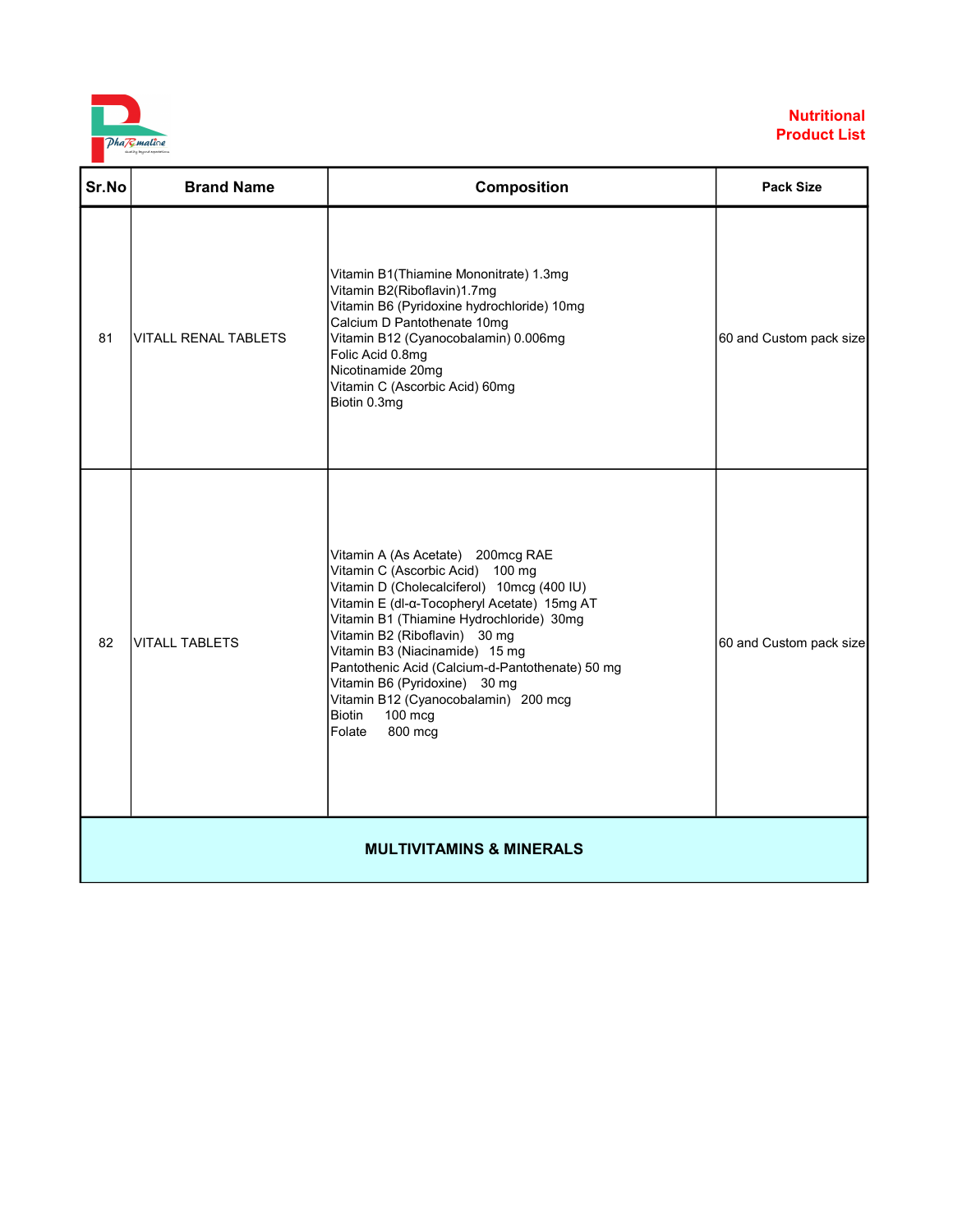

| Sr.No                               | <b>Brand Name</b>           | Composition                                                                                                                                                                                                                                                                                                                                                                                                                                                      | <b>Pack Size</b>        |
|-------------------------------------|-----------------------------|------------------------------------------------------------------------------------------------------------------------------------------------------------------------------------------------------------------------------------------------------------------------------------------------------------------------------------------------------------------------------------------------------------------------------------------------------------------|-------------------------|
| 81                                  | <b>VITALL RENAL TABLETS</b> | Vitamin B1(Thiamine Mononitrate) 1.3mg<br>Vitamin B2(Riboflavin)1.7mg<br>Vitamin B6 (Pyridoxine hydrochloride) 10mg<br>Calcium D Pantothenate 10mg<br>Vitamin B12 (Cyanocobalamin) 0.006mg<br>Folic Acid 0.8mg<br>Nicotinamide 20mg<br>Vitamin C (Ascorbic Acid) 60mg<br>Biotin 0.3mg                                                                                                                                                                            | 60 and Custom pack size |
| 82                                  | <b>VITALL TABLETS</b>       | Vitamin A (As Acetate) 200mcg RAE<br>Vitamin C (Ascorbic Acid) 100 mg<br>Vitamin D (Cholecalciferol) 10mcg (400 IU)<br>Vitamin E (dl-a-Tocopheryl Acetate) 15mg AT<br>Vitamin B1 (Thiamine Hydrochloride) 30mg<br>Vitamin B2 (Riboflavin) 30 mg<br>Vitamin B3 (Niacinamide) 15 mg<br>Pantothenic Acid (Calcium-d-Pantothenate) 50 mg<br>Vitamin B6 (Pyridoxine) 30 mg<br>Vitamin B12 (Cyanocobalamin) 200 mcg<br><b>Biotin</b><br>$100$ mcg<br>Folate<br>800 mcg | 60 and Custom pack size |
| <b>MULTIVITAMINS &amp; MINERALS</b> |                             |                                                                                                                                                                                                                                                                                                                                                                                                                                                                  |                         |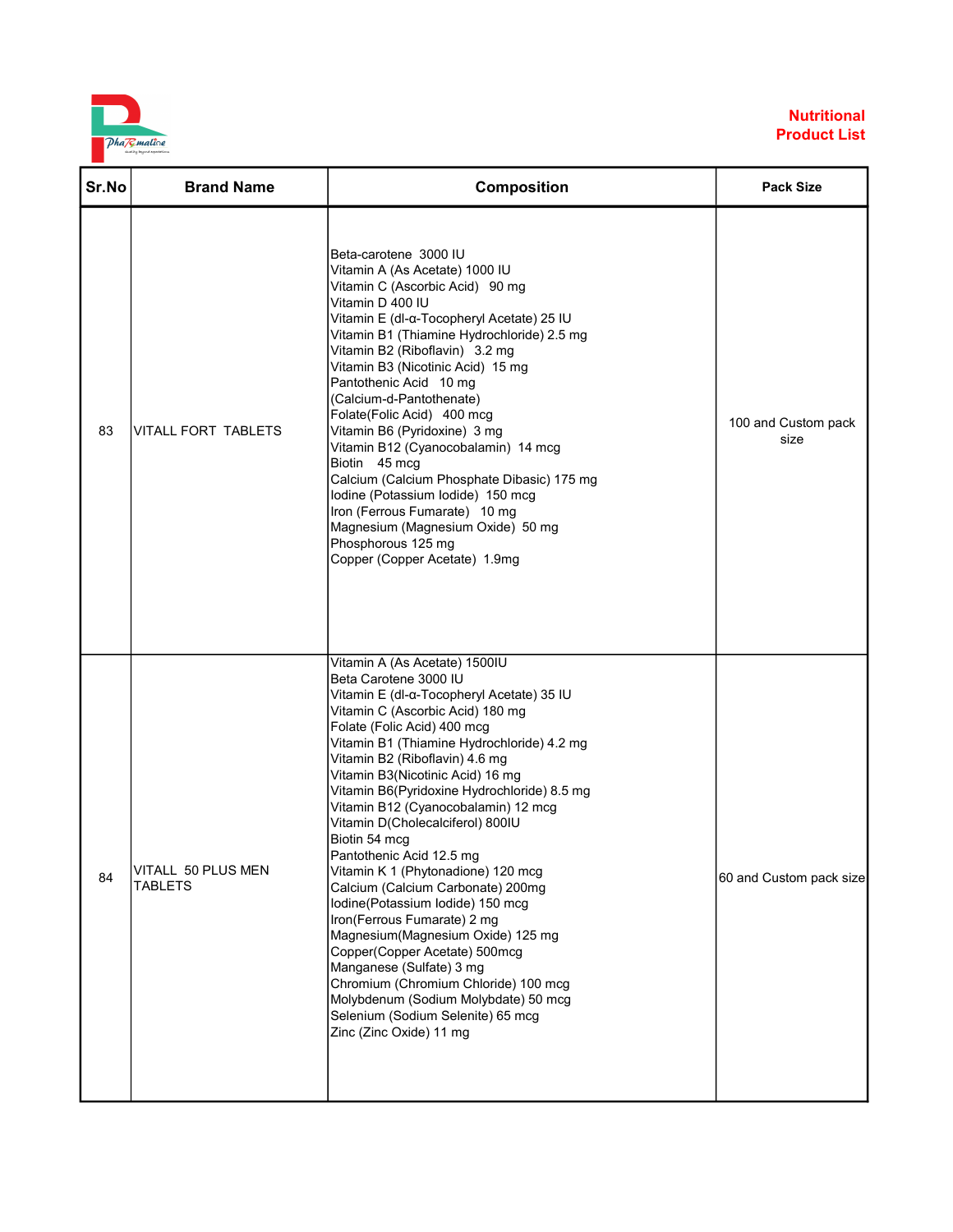

| Sr.No | <b>Brand Name</b>                    | <b>Composition</b>                                                                                                                                                                                                                                                                                                                                                                                                                                                                                                                                                                                                                                                                                                                                                                                                                                                | <b>Pack Size</b>            |
|-------|--------------------------------------|-------------------------------------------------------------------------------------------------------------------------------------------------------------------------------------------------------------------------------------------------------------------------------------------------------------------------------------------------------------------------------------------------------------------------------------------------------------------------------------------------------------------------------------------------------------------------------------------------------------------------------------------------------------------------------------------------------------------------------------------------------------------------------------------------------------------------------------------------------------------|-----------------------------|
| 83    | VITALL FORT TABLETS                  | Beta-carotene 3000 IU<br>Vitamin A (As Acetate) 1000 IU<br>Vitamin C (Ascorbic Acid) 90 mg<br>Vitamin D 400 IU<br>Vitamin E (dl-α-Tocopheryl Acetate) 25 IU<br>Vitamin B1 (Thiamine Hydrochloride) 2.5 mg<br>Vitamin B2 (Riboflavin) 3.2 mg<br>Vitamin B3 (Nicotinic Acid) 15 mg<br>Pantothenic Acid 10 mg<br>(Calcium-d-Pantothenate)<br>Folate(Folic Acid) 400 mcg<br>Vitamin B6 (Pyridoxine) 3 mg<br>Vitamin B12 (Cyanocobalamin) 14 mcg<br>Biotin 45 mcg<br>Calcium (Calcium Phosphate Dibasic) 175 mg<br>lodine (Potassium lodide) 150 mcg<br>Iron (Ferrous Fumarate) 10 mg<br>Magnesium (Magnesium Oxide) 50 mg<br>Phosphorous 125 mg<br>Copper (Copper Acetate) 1.9mg                                                                                                                                                                                      | 100 and Custom pack<br>size |
| 84    | VITALL 50 PLUS MEN<br><b>TABLETS</b> | Vitamin A (As Acetate) 1500IU<br>Beta Carotene 3000 IU<br>Vitamin E (dl-a-Tocopheryl Acetate) 35 IU<br>Vitamin C (Ascorbic Acid) 180 mg<br>Folate (Folic Acid) 400 mcg<br>Vitamin B1 (Thiamine Hydrochloride) 4.2 mg<br>Vitamin B2 (Riboflavin) 4.6 mg<br>Vitamin B3(Nicotinic Acid) 16 mg<br>Vitamin B6(Pyridoxine Hydrochloride) 8.5 mg<br>Vitamin B12 (Cyanocobalamin) 12 mcg<br>Vitamin D(Cholecalciferol) 800IU<br>Biotin 54 mcg<br>Pantothenic Acid 12.5 mg<br>Vitamin K 1 (Phytonadione) 120 mcg<br>Calcium (Calcium Carbonate) 200mg<br>Iodine(Potassium lodide) 150 mcg<br>Iron(Ferrous Fumarate) 2 mg<br>Magnesium(Magnesium Oxide) 125 mg<br>Copper(Copper Acetate) 500mcg<br>Manganese (Sulfate) 3 mg<br>Chromium (Chromium Chloride) 100 mcg<br>Molybdenum (Sodium Molybdate) 50 mcg<br>Selenium (Sodium Selenite) 65 mcg<br>Zinc (Zinc Oxide) 11 mg | 60 and Custom pack size     |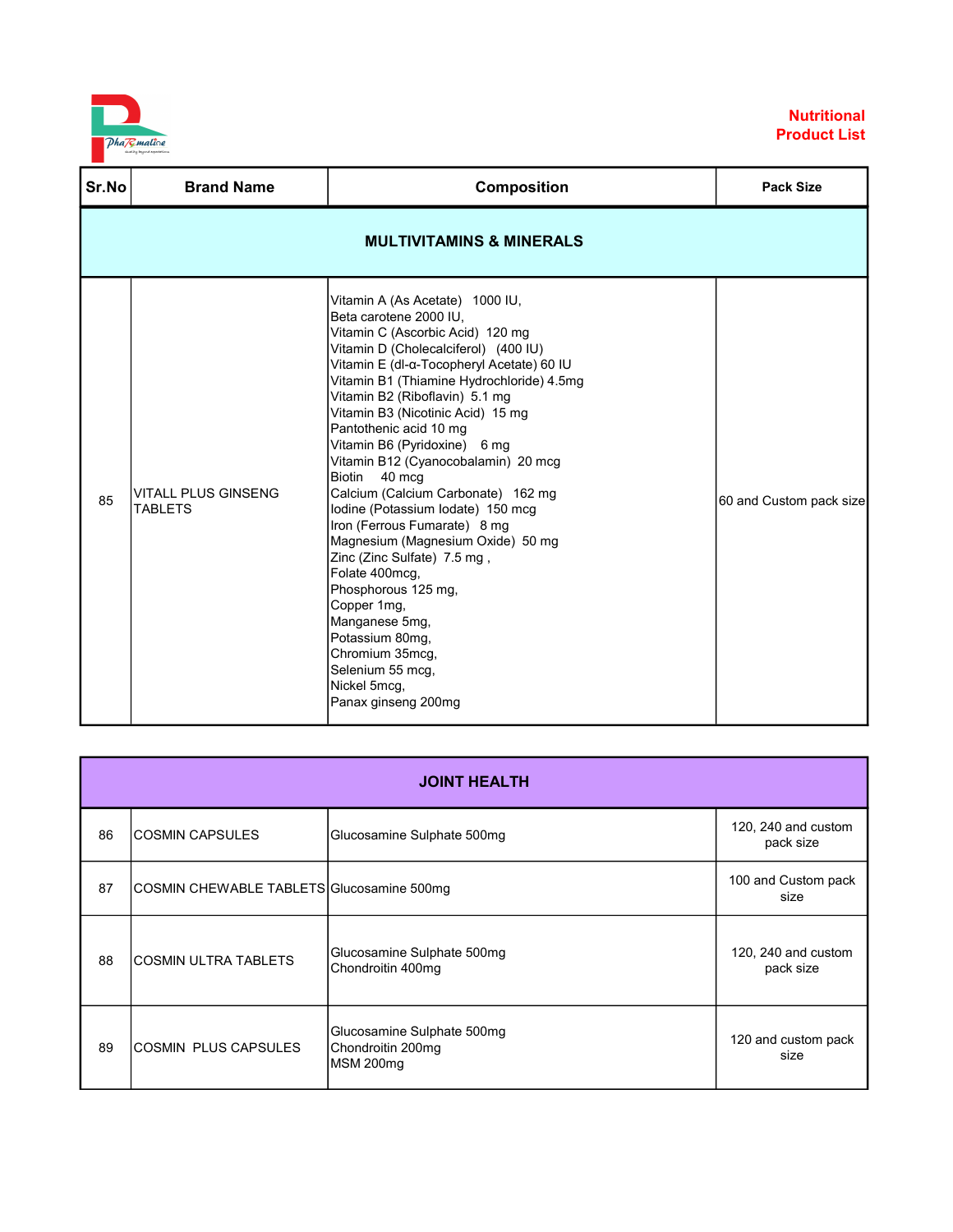

| Sr.No | <b>Brand Name</b>                            | <b>Composition</b>                                                                                                                                                                                                                                                                                                                                                                                                                                                                                                                                                                                                                                                                                                                                                                           | <b>Pack Size</b>        |
|-------|----------------------------------------------|----------------------------------------------------------------------------------------------------------------------------------------------------------------------------------------------------------------------------------------------------------------------------------------------------------------------------------------------------------------------------------------------------------------------------------------------------------------------------------------------------------------------------------------------------------------------------------------------------------------------------------------------------------------------------------------------------------------------------------------------------------------------------------------------|-------------------------|
|       |                                              | <b>MULTIVITAMINS &amp; MINERALS</b>                                                                                                                                                                                                                                                                                                                                                                                                                                                                                                                                                                                                                                                                                                                                                          |                         |
| 85    | <b>VITALL PLUS GINSENG</b><br><b>TABLETS</b> | Vitamin A (As Acetate) 1000 IU,<br>Beta carotene 2000 IU,<br>Vitamin C (Ascorbic Acid) 120 mg<br>Vitamin D (Cholecalciferol) (400 IU)<br>Vitamin E (dl-α-Tocopheryl Acetate) 60 IU<br>Vitamin B1 (Thiamine Hydrochloride) 4.5mg<br>Vitamin B2 (Riboflavin) 5.1 mg<br>Vitamin B3 (Nicotinic Acid) 15 mg<br>Pantothenic acid 10 mg<br>Vitamin B6 (Pyridoxine) 6 mg<br>Vitamin B12 (Cyanocobalamin) 20 mcg<br><b>Biotin</b><br>40 mcg<br>Calcium (Calcium Carbonate) 162 mg<br>lodine (Potassium lodate) 150 mcg<br>Iron (Ferrous Fumarate) 8 mg<br>Magnesium (Magnesium Oxide) 50 mg<br>Zinc (Zinc Sulfate) 7.5 mg,<br>Folate 400mcg,<br>Phosphorous 125 mg,<br>Copper 1mg,<br>Manganese 5mg,<br>Potassium 80mg,<br>Chromium 35mcg,<br>Selenium 55 mcg,<br>Nickel 5mcg,<br>Panax ginseng 200mg | 60 and Custom pack size |

|    | <b>JOINT HEALTH</b>                       |                                                              |                                  |  |
|----|-------------------------------------------|--------------------------------------------------------------|----------------------------------|--|
| 86 | <b>COSMIN CAPSULES</b>                    | Glucosamine Sulphate 500mg                                   | 120, 240 and custom<br>pack size |  |
| 87 | COSMIN CHEWABLE TABLETS Glucosamine 500mg |                                                              | 100 and Custom pack<br>size      |  |
| 88 | <b>COSMIN ULTRA TABLETS</b>               | Glucosamine Sulphate 500mg<br>Chondroitin 400mg              | 120, 240 and custom<br>pack size |  |
| 89 | <b>COSMIN PLUS CAPSULES</b>               | Glucosamine Sulphate 500mg<br>Chondroitin 200mg<br>MSM 200mg | 120 and custom pack<br>size      |  |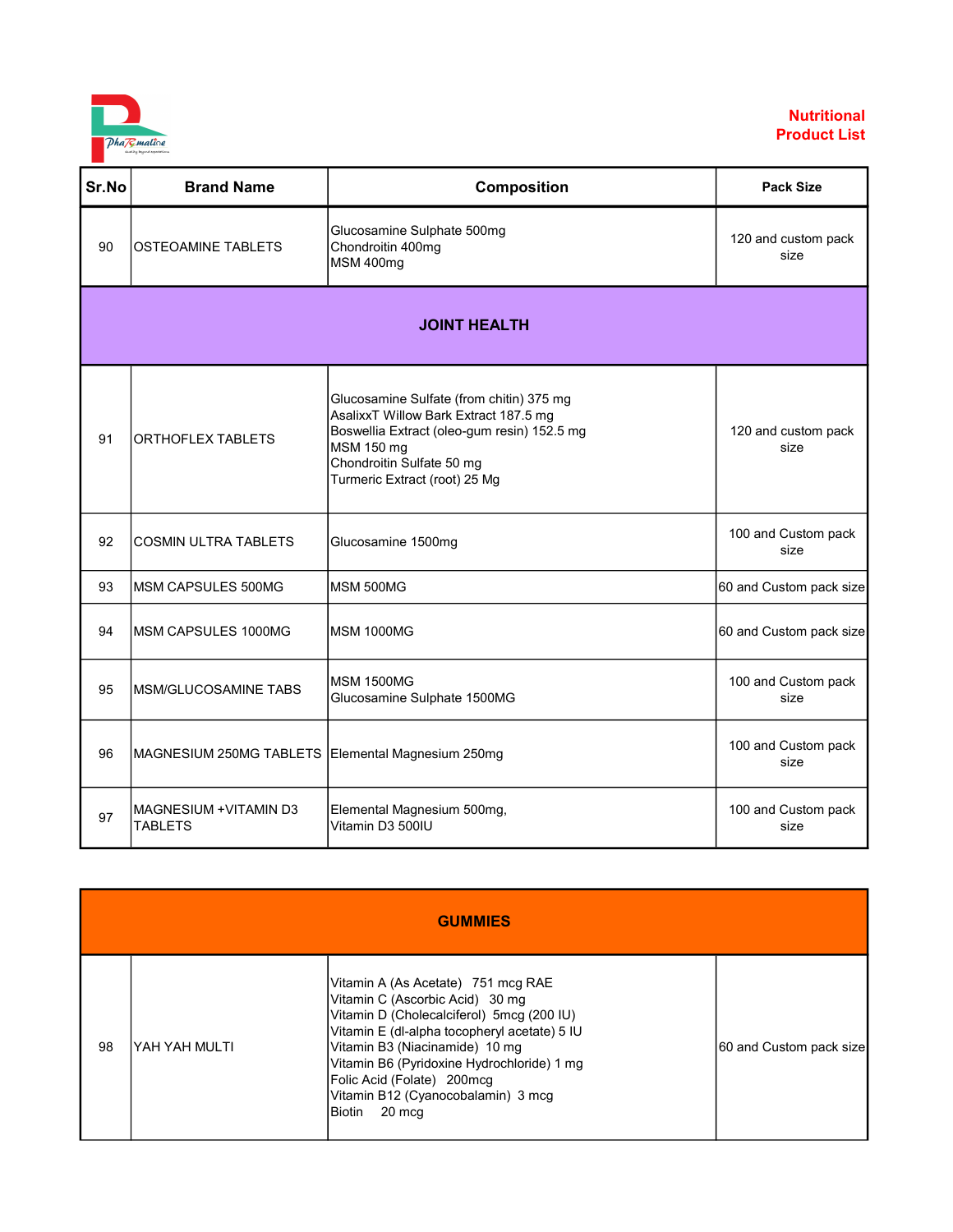

| Sr.No | <b>Brand Name</b>                                 | Composition                                                                                                                                                                                                  | <b>Pack Size</b>            |  |
|-------|---------------------------------------------------|--------------------------------------------------------------------------------------------------------------------------------------------------------------------------------------------------------------|-----------------------------|--|
| 90    | <b>OSTEOAMINE TABLETS</b>                         | Glucosamine Sulphate 500mg<br>Chondroitin 400mg<br>MSM 400mg                                                                                                                                                 | 120 and custom pack<br>size |  |
|       | <b>JOINT HEALTH</b>                               |                                                                                                                                                                                                              |                             |  |
| 91    | ORTHOFLEX TABLETS                                 | Glucosamine Sulfate (from chitin) 375 mg<br>AsalixxT Willow Bark Extract 187.5 mg<br>Boswellia Extract (oleo-gum resin) 152.5 mg<br>MSM 150 mg<br>Chondroitin Sulfate 50 mg<br>Turmeric Extract (root) 25 Mg | 120 and custom pack<br>size |  |
| 92    | <b>COSMIN ULTRA TABLETS</b>                       | Glucosamine 1500mg                                                                                                                                                                                           | 100 and Custom pack<br>size |  |
| 93    | IMSM CAPSULES 500MG                               | MSM 500MG                                                                                                                                                                                                    | 60 and Custom pack size     |  |
| 94    | MSM CAPSULES 1000MG                               | <b>MSM 1000MG</b>                                                                                                                                                                                            | 60 and Custom pack size     |  |
| 95    | MSM/GLUCOSAMINE TABS                              | <b>MSM 1500MG</b><br>Glucosamine Sulphate 1500MG                                                                                                                                                             | 100 and Custom pack<br>size |  |
| 96    | MAGNESIUM 250MG TABLETS Elemental Magnesium 250mg |                                                                                                                                                                                                              | 100 and Custom pack<br>size |  |
| 97    | MAGNESIUM + VITAMIN D3<br><b>TABLETS</b>          | Elemental Magnesium 500mg,<br>Vitamin D3 500IU                                                                                                                                                               | 100 and Custom pack<br>size |  |

|    | <b>GUMMIES</b> |                                                                                                                                                                                                                                                                                                                                            |                         |  |
|----|----------------|--------------------------------------------------------------------------------------------------------------------------------------------------------------------------------------------------------------------------------------------------------------------------------------------------------------------------------------------|-------------------------|--|
| 98 | YAH YAH MULTI  | Vitamin A (As Acetate) 751 mcg RAE<br>Vitamin C (Ascorbic Acid) 30 mg<br>Vitamin D (Cholecalciferol) 5mcg (200 IU)<br>Vitamin E (dl-alpha tocopheryl acetate) 5 IU<br>Vitamin B3 (Niacinamide) 10 mg<br>Vitamin B6 (Pyridoxine Hydrochloride) 1 mg<br>Folic Acid (Folate) 200mcg<br>Vitamin B12 (Cyanocobalamin) 3 mcg<br>20 mcq<br>Biotin | 60 and Custom pack size |  |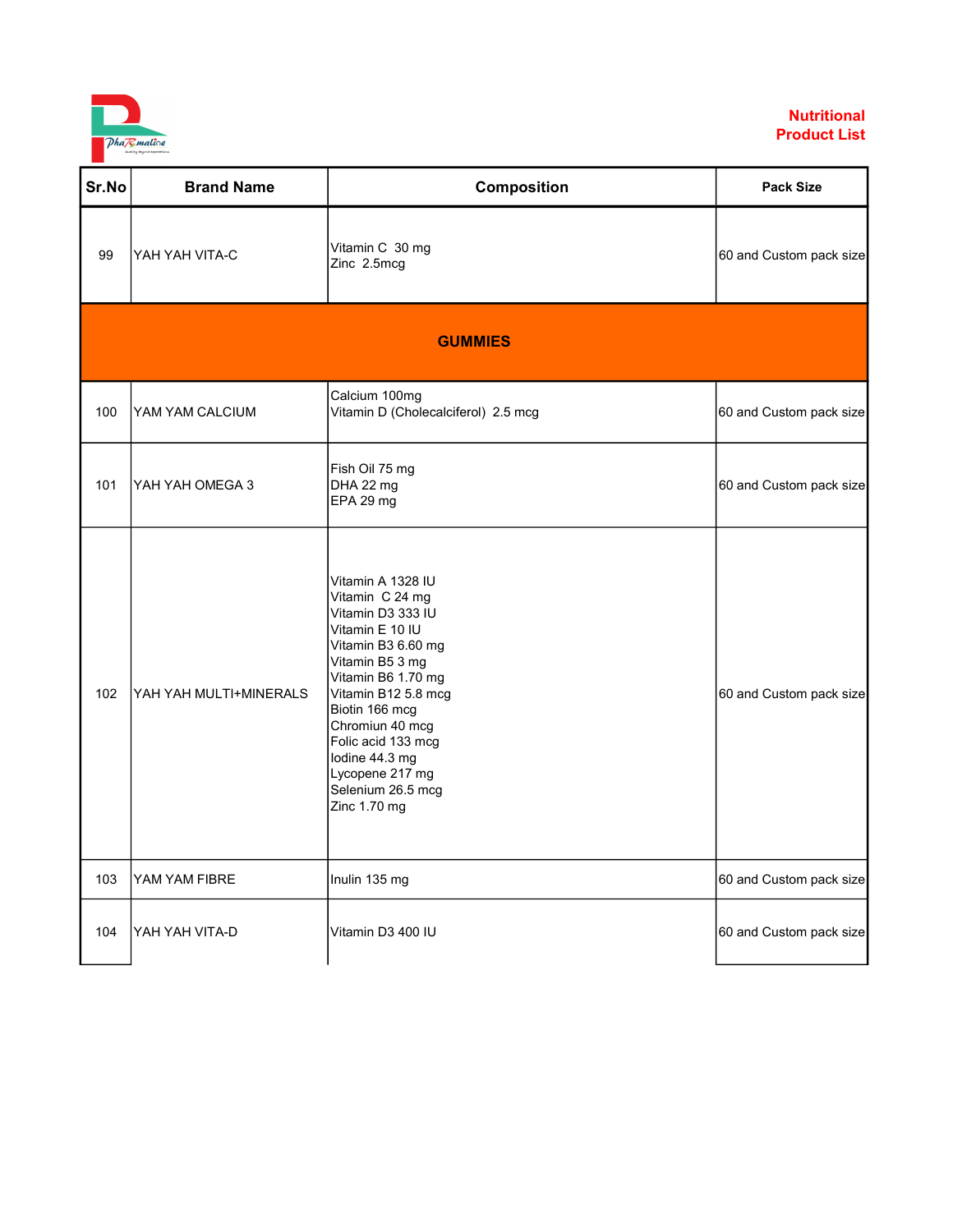

| Sr.No | <b>Brand Name</b>      | <b>Composition</b>                                                                                                                                                                                                                                                                                      | <b>Pack Size</b>        |
|-------|------------------------|---------------------------------------------------------------------------------------------------------------------------------------------------------------------------------------------------------------------------------------------------------------------------------------------------------|-------------------------|
| 99    | YAH YAH VITA-C         | Vitamin C 30 mg<br>Zinc 2.5mcg                                                                                                                                                                                                                                                                          | 60 and Custom pack size |
|       |                        | <b>GUMMIES</b>                                                                                                                                                                                                                                                                                          |                         |
| 100   | YAM YAM CALCIUM        | Calcium 100mg<br>Vitamin D (Cholecalciferol) 2.5 mcg                                                                                                                                                                                                                                                    | 60 and Custom pack size |
| 101   | YAH YAH OMEGA 3        | Fish Oil 75 mg<br>DHA 22 mg<br>EPA 29 mg                                                                                                                                                                                                                                                                | 60 and Custom pack size |
| 102   | YAH YAH MULTI+MINERALS | Vitamin A 1328 IU<br>Vitamin C 24 mg<br>Vitamin D3 333 IU<br>Vitamin E 10 IU<br>Vitamin B3 6.60 mg<br>Vitamin B5 3 mg<br>Vitamin B6 1.70 mg<br>Vitamin B12 5.8 mcg<br>Biotin 166 mcg<br>Chromiun 40 mcg<br>Folic acid 133 mcg<br>lodine 44.3 mg<br>Lycopene 217 mg<br>Selenium 26.5 mcg<br>Zinc 1.70 mg | 60 and Custom pack size |
| 103   | YAM YAM FIBRE          | Inulin 135 mg                                                                                                                                                                                                                                                                                           | 60 and Custom pack size |
| 104   | YAH YAH VITA-D         | Vitamin D3 400 IU                                                                                                                                                                                                                                                                                       | 60 and Custom pack size |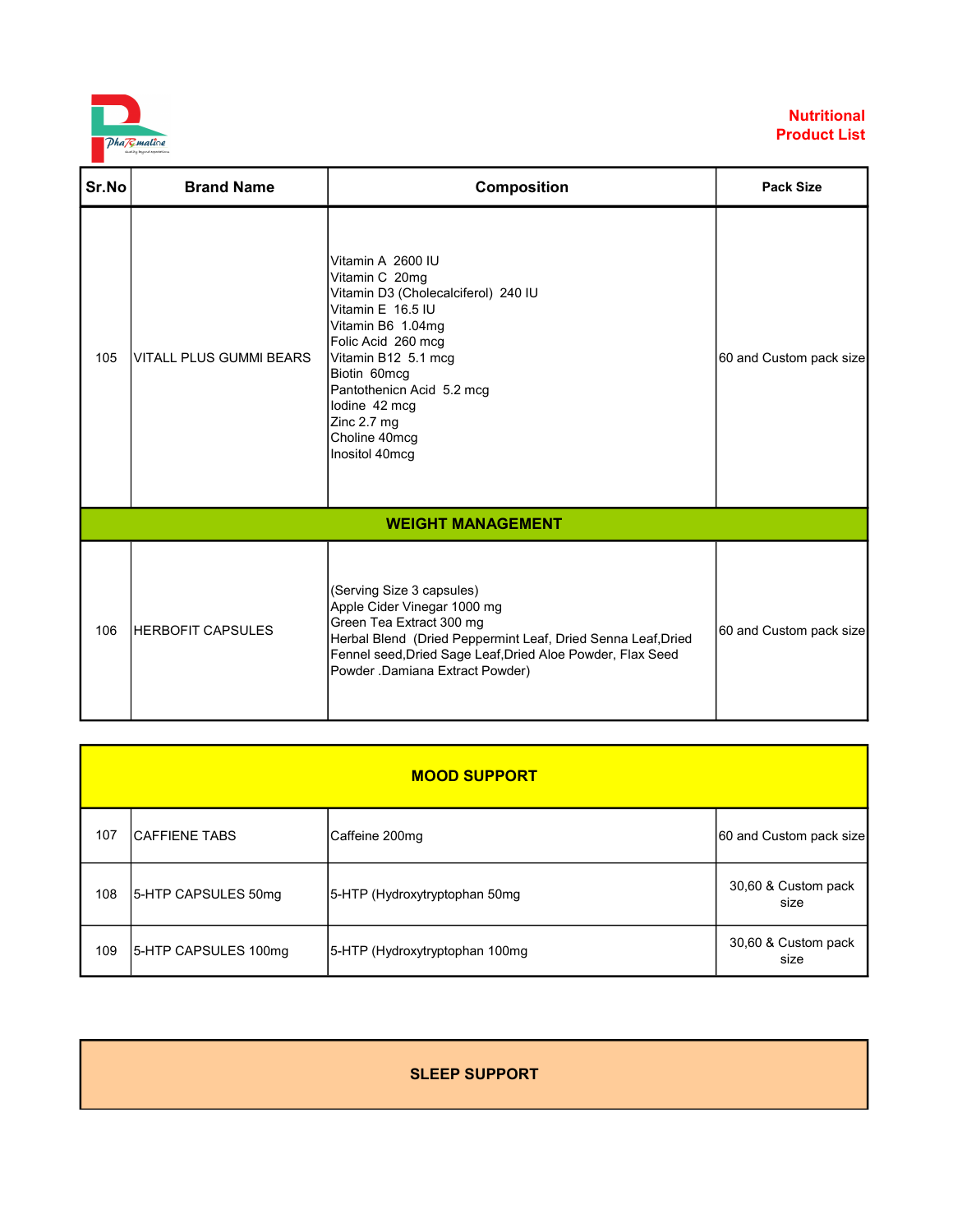

| Sr.No | <b>Brand Name</b>              | <b>Composition</b>                                                                                                                                                                                                                                                                | <b>Pack Size</b>        |
|-------|--------------------------------|-----------------------------------------------------------------------------------------------------------------------------------------------------------------------------------------------------------------------------------------------------------------------------------|-------------------------|
| 105   | <b>VITALL PLUS GUMMI BEARS</b> | Vitamin A 2600 IU<br>Vitamin C 20mg<br>Vitamin D3 (Cholecalciferol) 240 IU<br>Vitamin E 16.5 IU<br>Vitamin B6 1.04mg<br>Folic Acid 260 mcg<br>Vitamin B12 5.1 mcg<br>Biotin 60mcg<br>Pantothenicn Acid 5.2 mcg<br>lodine 42 mcq<br>Zinc 2.7 mg<br>Choline 40mcg<br>Inositol 40mcg | 60 and Custom pack size |
|       |                                | <b>WEIGHT MANAGEMENT</b>                                                                                                                                                                                                                                                          |                         |
| 106   | <b>HERBOFIT CAPSULES</b>       | (Serving Size 3 capsules)<br>Apple Cider Vinegar 1000 mg<br>Green Tea Extract 300 mg<br>Herbal Blend (Dried Peppermint Leaf, Dried Senna Leaf, Dried<br>Fennel seed, Dried Sage Leaf, Dried Aloe Powder, Flax Seed<br>Powder .Damiana Extract Powder)                             | 60 and Custom pack size |

|     | <b>MOOD SUPPORT</b>  |                                |                             |  |
|-----|----------------------|--------------------------------|-----------------------------|--|
| 107 | ICAFFIENE TABS       | Caffeine 200mg                 | 60 and Custom pack size     |  |
| 108 | 5-HTP CAPSULES 50mg  | 5-HTP (Hydroxytryptophan 50mg  | 30,60 & Custom pack<br>size |  |
| 109 | 5-HTP CAPSULES 100mg | 5-HTP (Hydroxytryptophan 100mg | 30,60 & Custom pack<br>size |  |

## SLEEP SUPPORT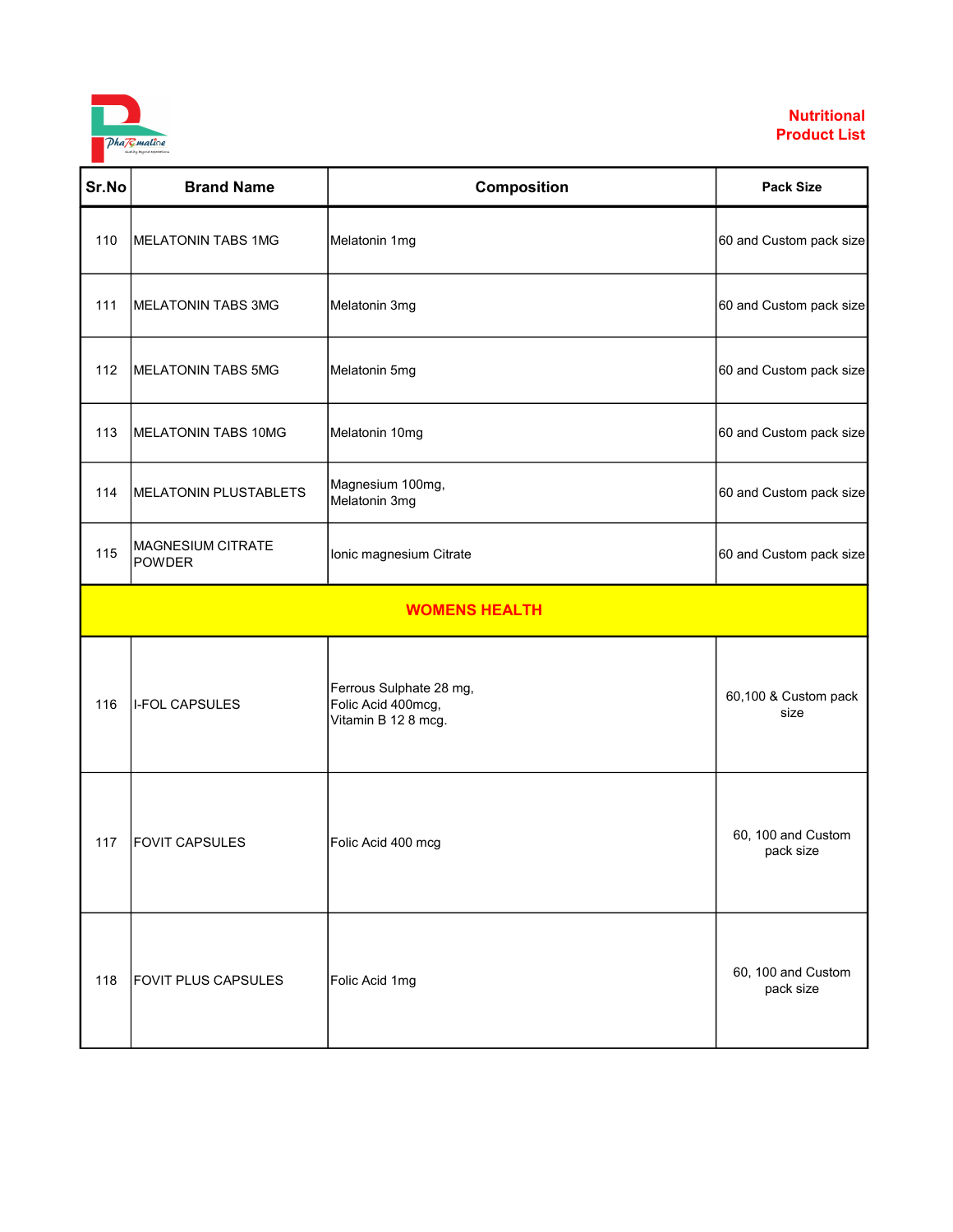

| Sr.No | <b>Brand Name</b>                         | Composition                                                          | <b>Pack Size</b>                |
|-------|-------------------------------------------|----------------------------------------------------------------------|---------------------------------|
| 110   | MELATONIN TABS 1MG                        | Melatonin 1mg                                                        | 60 and Custom pack size         |
| 111   | MELATONIN TABS 3MG                        | Melatonin 3mg                                                        | 60 and Custom pack size         |
| 112   | MELATONIN TABS 5MG                        | Melatonin 5mg                                                        | 60 and Custom pack size         |
| 113   | MELATONIN TABS 10MG                       | Melatonin 10mg                                                       | 60 and Custom pack size         |
| 114   | MELATONIN PLUSTABLETS                     | Magnesium 100mg,<br>Melatonin 3mg                                    | 60 and Custom pack size         |
| 115   | <b>MAGNESIUM CITRATE</b><br><b>POWDER</b> | Ionic magnesium Citrate                                              | 60 and Custom pack size         |
|       |                                           | <b>WOMENS HEALTH</b>                                                 |                                 |
| 116   | I-FOL CAPSULES                            | Ferrous Sulphate 28 mg,<br>Folic Acid 400mcg,<br>Vitamin B 12 8 mcg. | 60,100 & Custom pack<br>size    |
| 117   | <b>FOVIT CAPSULES</b>                     | Folic Acid 400 mcg                                                   | 60, 100 and Custom<br>pack size |
| 118   | <b>FOVIT PLUS CAPSULES</b>                | Folic Acid 1mg                                                       | 60, 100 and Custom<br>pack size |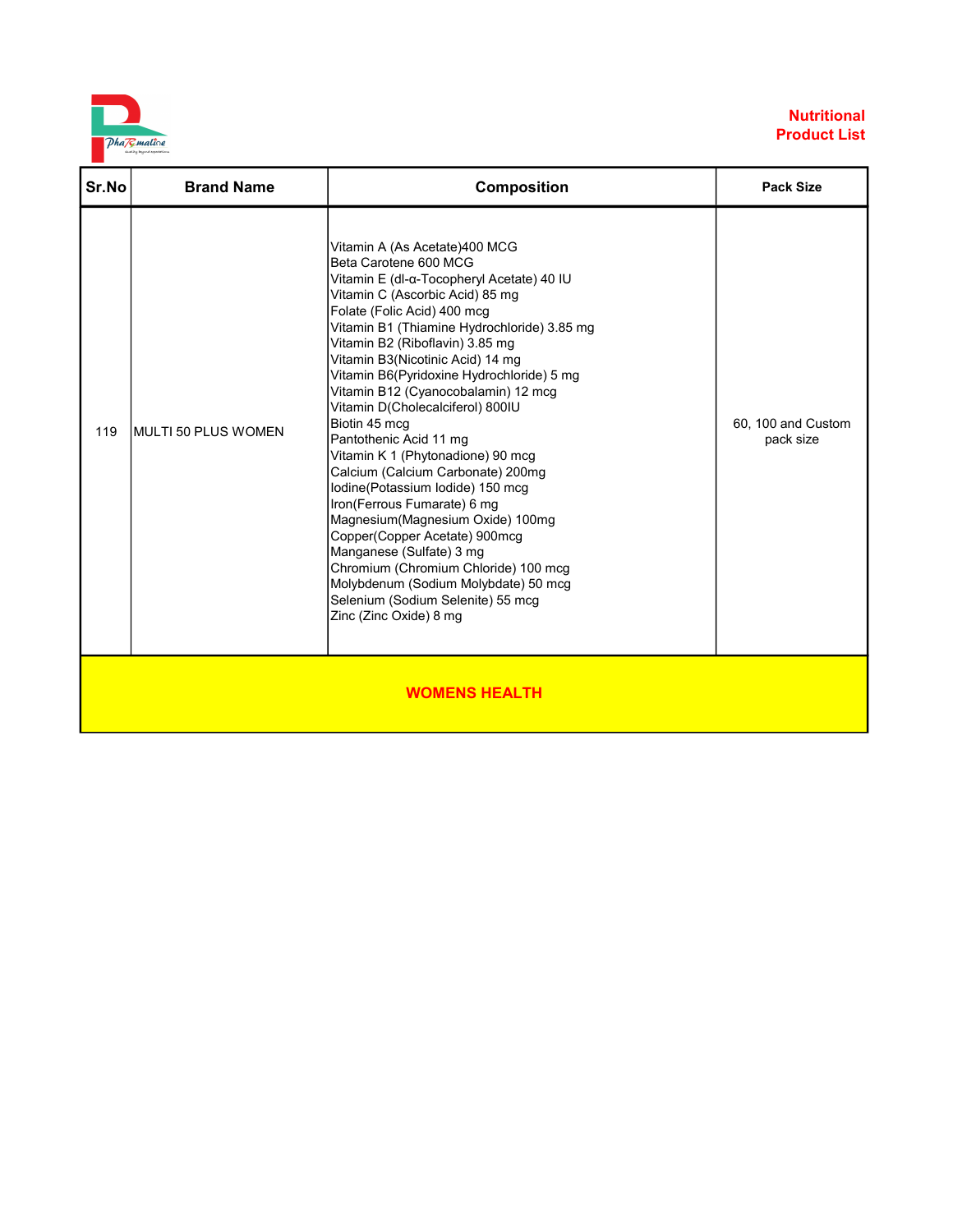

| Sr.No                | <b>Brand Name</b>   | <b>Composition</b>                                                                                                                                                                                                                                                                                                                                                                                                                                                                                                                                                                                                                                                                                                                                                                                                                                          | <b>Pack Size</b>                |  |
|----------------------|---------------------|-------------------------------------------------------------------------------------------------------------------------------------------------------------------------------------------------------------------------------------------------------------------------------------------------------------------------------------------------------------------------------------------------------------------------------------------------------------------------------------------------------------------------------------------------------------------------------------------------------------------------------------------------------------------------------------------------------------------------------------------------------------------------------------------------------------------------------------------------------------|---------------------------------|--|
| 119                  | MULTI 50 PLUS WOMEN | Vitamin A (As Acetate)400 MCG<br>Beta Carotene 600 MCG<br>Vitamin E (dl-α-Tocopheryl Acetate) 40 IU<br>Vitamin C (Ascorbic Acid) 85 mg<br>Folate (Folic Acid) 400 mcg<br>Vitamin B1 (Thiamine Hydrochloride) 3.85 mg<br>Vitamin B2 (Riboflavin) 3.85 mg<br>Vitamin B3(Nicotinic Acid) 14 mg<br>Vitamin B6(Pyridoxine Hydrochloride) 5 mg<br>Vitamin B12 (Cyanocobalamin) 12 mcg<br>Vitamin D(Cholecalciferol) 800IU<br>Biotin 45 mcg<br>Pantothenic Acid 11 mg<br>Vitamin K 1 (Phytonadione) 90 mcg<br>Calcium (Calcium Carbonate) 200mg<br>Iodine(Potassium Iodide) 150 mcg<br>Iron(Ferrous Fumarate) 6 mg<br>Magnesium(Magnesium Oxide) 100mg<br>Copper(Copper Acetate) 900mcg<br>Manganese (Sulfate) 3 mg<br>Chromium (Chromium Chloride) 100 mcg<br>Molybdenum (Sodium Molybdate) 50 mcg<br>Selenium (Sodium Selenite) 55 mcg<br>Zinc (Zinc Oxide) 8 mg | 60, 100 and Custom<br>pack size |  |
| <b>WOMENS HEALTH</b> |                     |                                                                                                                                                                                                                                                                                                                                                                                                                                                                                                                                                                                                                                                                                                                                                                                                                                                             |                                 |  |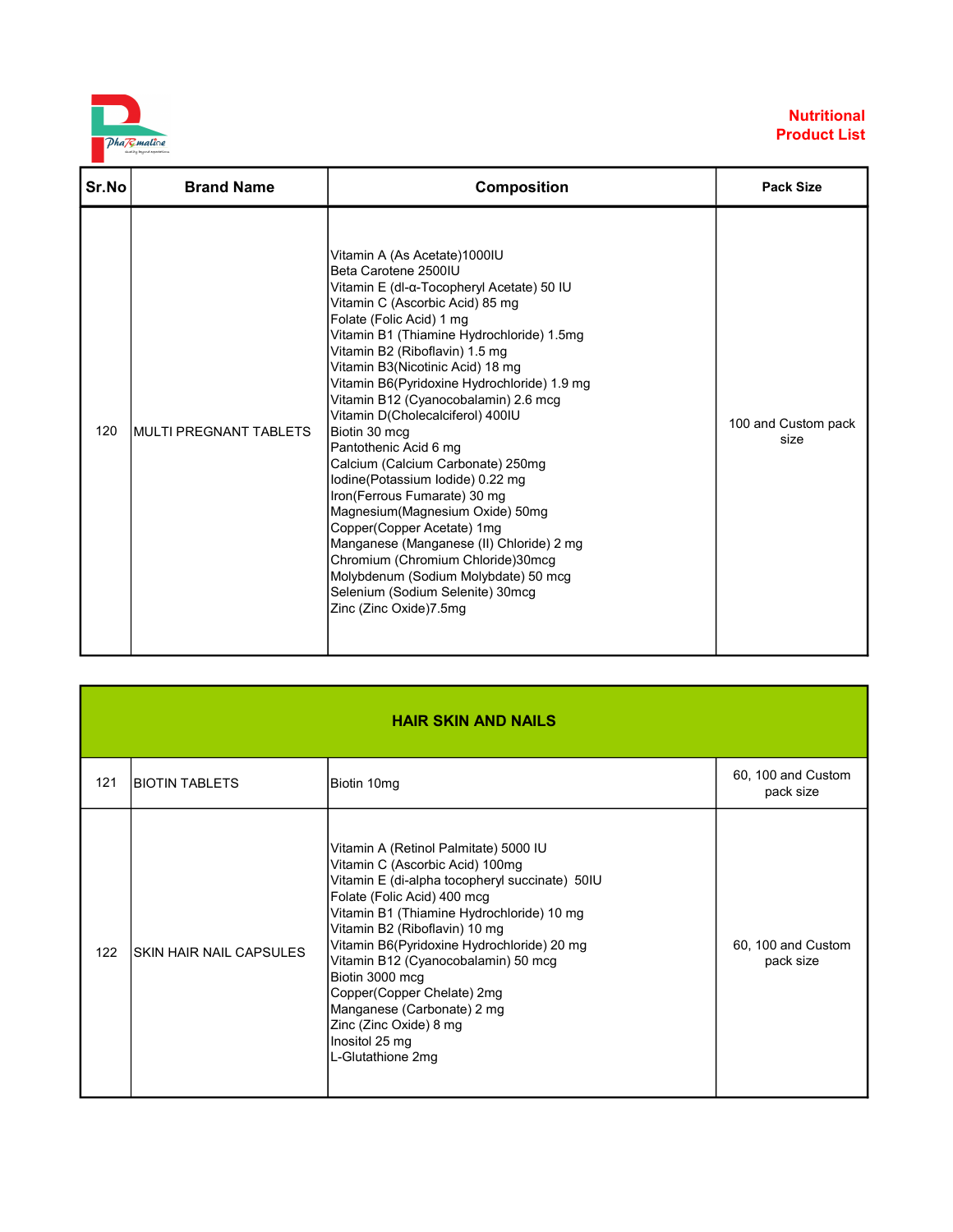

| Sr.No | <b>Brand Name</b>       | <b>Composition</b>                                                                                                                                                                                                                                                                                                                                                                                                                                                                                                                                                                                                                                                                                                                                                                                                        | <b>Pack Size</b>            |
|-------|-------------------------|---------------------------------------------------------------------------------------------------------------------------------------------------------------------------------------------------------------------------------------------------------------------------------------------------------------------------------------------------------------------------------------------------------------------------------------------------------------------------------------------------------------------------------------------------------------------------------------------------------------------------------------------------------------------------------------------------------------------------------------------------------------------------------------------------------------------------|-----------------------------|
| 120   | IMULTI PREGNANT TABLETS | Vitamin A (As Acetate)1000IU<br>Beta Carotene 2500IU<br>Vitamin E (dl-α-Tocopheryl Acetate) 50 IU<br>Vitamin C (Ascorbic Acid) 85 mg<br>Folate (Folic Acid) 1 mg<br>Vitamin B1 (Thiamine Hydrochloride) 1.5mg<br>Vitamin B2 (Riboflavin) 1.5 mg<br>Vitamin B3(Nicotinic Acid) 18 mg<br>Vitamin B6(Pyridoxine Hydrochloride) 1.9 mg<br>Vitamin B12 (Cyanocobalamin) 2.6 mcg<br>Vitamin D(Cholecalciferol) 400IU<br>Biotin 30 mcg<br>Pantothenic Acid 6 mg<br>Calcium (Calcium Carbonate) 250mg<br>lodine(Potassium lodide) 0.22 mg<br>Iron(Ferrous Fumarate) 30 mg<br>Magnesium(Magnesium Oxide) 50mg<br>Copper(Copper Acetate) 1mg<br>Manganese (Manganese (II) Chloride) 2 mg<br>Chromium (Chromium Chloride)30mcg<br>Molybdenum (Sodium Molybdate) 50 mcg<br>Selenium (Sodium Selenite) 30mcg<br>Zinc (Zinc Oxide)7.5mg | 100 and Custom pack<br>size |

| <b>HAIR SKIN AND NAILS</b> |                                |                                                                                                                                                                                                                                                                                                                                                                                                                                                                              |                                 |
|----------------------------|--------------------------------|------------------------------------------------------------------------------------------------------------------------------------------------------------------------------------------------------------------------------------------------------------------------------------------------------------------------------------------------------------------------------------------------------------------------------------------------------------------------------|---------------------------------|
| 121                        | <b>BIOTIN TABLETS</b>          | Biotin 10mg                                                                                                                                                                                                                                                                                                                                                                                                                                                                  | 60, 100 and Custom<br>pack size |
| 122                        | <b>SKIN HAIR NAIL CAPSULES</b> | Vitamin A (Retinol Palmitate) 5000 IU<br>Vitamin C (Ascorbic Acid) 100mg<br>Vitamin E (di-alpha tocopheryl succinate) 50IU<br>Folate (Folic Acid) 400 mcg<br>Vitamin B1 (Thiamine Hydrochloride) 10 mg<br>Vitamin B2 (Riboflavin) 10 mg<br>Vitamin B6(Pyridoxine Hydrochloride) 20 mg<br>Vitamin B12 (Cyanocobalamin) 50 mcg<br>Biotin 3000 mcg<br>Copper(Copper Chelate) 2mg<br>Manganese (Carbonate) 2 mg<br>Zinc (Zinc Oxide) 8 mg<br>Inositol 25 mg<br>L-Glutathione 2mg | 60, 100 and Custom<br>pack size |